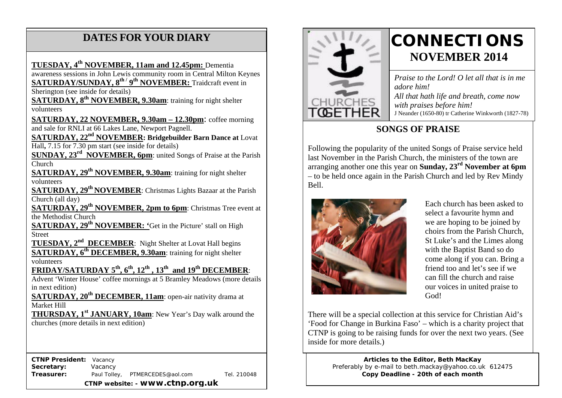# **DATES FOR YOUR DIARY**

**TUESDAY, 4th NOVEMBER, 11am and 12.45pm:** Dementia

 **SATURDAY/SUNDAY, 8th / 9th NOVEMBER:** Traidcraft event in awareness sessions in John Lewis community room in Central Milton Keynes

Sherington (see inside for details)

 **SATURDAY, 8th NOVEMBER, 9.30am**: training for night shelter volunteers

**SATURDAY, 22 NOVEMBER, 9.30am – 12.30pm**: coffee morning and sale for RNLI at 66 Lakes Lane, Newport Pagnell.

**SATURDAY, 22nd NOVEMBER: Bridgebuilder Barn Dance at** Lovat Hall**,** 7.15 for 7.30 pm start (see inside for details)

**SUNDAY, 23rd NOVEMBER, 6pm**: united Songs of Praise at the Parish Church

**SATURDAY, 29<sup>th</sup> NOVEMBER, 9.30am:** training for night shelter volunteers

**SATURDAY, 29<sup>th</sup> NOVEMBER**: Christmas Lights Bazaar at the Parish Church (all day)

**SATURDAY, 29<sup>th</sup> NOVEMBER, 2pm to 6pm: Christmas Tree event at** the Methodist Church

**SATURDAY, 29th NOVEMBER: '**Get in the Picture' stall on High Street

**TUESDAY, 2<sup>nd</sup> DECEMBER**: Night Shelter at Lovat Hall begins **SATURDAY, 6<sup>th</sup> DECEMBER, 9.30am:** training for night shelter volunteers

**FRIDAY/SATURDAY 5th, 6th, 12th , 13th and 19th DECEMBER**:

Advent 'Winter House' coffee mornings at 5 Bramley Meadows (more details in next edition)

**SATURDAY, 20<sup>th</sup> DECEMBER, 11am**: open-air nativity drama at Market Hill

**THURSDAY, 1st JANUARY, 10am**: New Year's Day walk around the churches (more details in next edition)

 **CTNP President:** Vacancy **Secretary:** Vacancy **Treasurer:** Paul Tolley, PTMERCEDES@aol.com Tel. 210048 **CTNP website: - www.ctnp.org.uk**



# **CONNECTIONS NOVEMBER 2014**

*Praise to the Lord! O let all that is in me adore him! All that hath life and breath, come now with praises before him!* J Neander (1650-80) tr Catherine Winkworth (1827-78)

# **SONGS OF PRAISE**

Following the popularity of the united Songs of Praise service held last November in the Parish Church, the ministers of the town are arranging another one this year on **Sunday, 23rd November at 6pm** – to be held once again in the Parish Church and led by Rev Mindy Bell.



Each church has been asked to select a favourite hymn and we are hoping to be joined by choirs from the Parish Church, St Luke's and the Limes along with the Baptist Band so do come along if you can. Bring a friend too and let's see if we can fill the church and raise our voices in united praise to God!

There will be a special collection at this service for Christian Aid's 'Food for Change in Burkina Faso' – which is a charity project that CTNP is going to be raising funds for over the next two years. (See inside for more details.)

> **Articles to the Editor, Beth MacKay** Preferably by e-mail to beth.mackay@yahoo.co.uk 612475 **Copy Deadline - 20th of each month**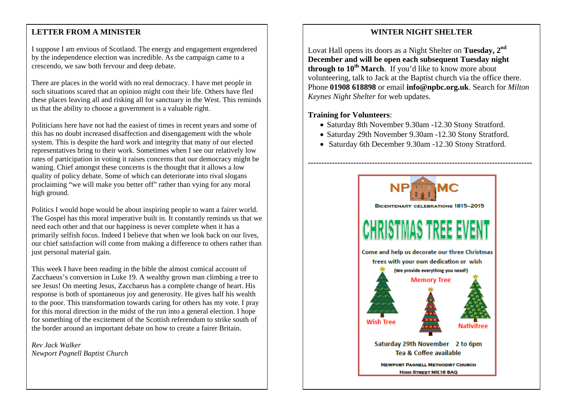#### mee **LETTER FROM A MINISTER**

I suppose I am envious of Scotland. The energy and engagement engendered by the independence election was incredible. As the campaign came to a crescendo, we saw both fervour and deep debate.

There are places in the world with no real democracy. I have met people in such situations scared that an opinion might cost their life. Others have fled these places leaving all and risking all for sanctuary in the West. This reminds us that the ability to choose a government is a valuable right.

Politicians here have not had the easiest of times in recent years and some of this has no doubt increased disaffection and disengagement with the whole system. This is despite the hard work and integrity that many of our elected representatives bring to their work. Sometimes when I see our relatively low rates of participation in voting it raises concerns that our democracy might be waning. Chief amongst these concerns is the thought that it allows a low quality of policy debate. Some of which can deteriorate into rival slogans proclaiming "we will make you better off" rather than vying for any moral high ground.

Politics I would hope would be about inspiring people to want a fairer world. The Gospel has this moral imperative built in. It constantly reminds us that we need each other and that our happiness is never complete when it has a primarily selfish focus. Indeed I believe that when we look back on our lives, our chief satisfaction will come from making a difference to others rather than just personal material gain.

This week I have been reading in the bible the almost comical account of Zacchaeus's conversion in Luke 19. A wealthy grown man climbing a tree to see Jesus! On meeting Jesus, Zacchaeus has a complete change of heart. His response is both of spontaneous joy and generosity. He gives half his wealth to the poor. This transformation towards caring for others has my vote. I pray for this moral direction in the midst of the run into a general election. I hope for something of the excitement of the Scottish referendum to strike south of the border around an important debate on how to create a fairer Britain.

*Rev Jack Walker Newport Pagnell Baptist Church*

#### **WINTER NIGHT SHELTER**

Lovat Hall opens its doors as a Night Shelter on **Tuesday, 2nd December and will be open each subsequent Tuesday night through to 10<sup>th</sup> March.** If you'd like to know more about volunteering, talk to Jack at the Baptist church via the office there. Phone **01908 618898** or email **info@npbc.org.uk**. Search for *Milton Keynes Night Shelter* for web updates.

#### **Training for Volunteers**:

- Saturday 8th November 9.30am -12.30 Stony Stratford.
- Saturday 29th November 9.30am -12.30 Stony Stratford.
- Saturday 6th December 9.30am -12.30 Stony Stratford.

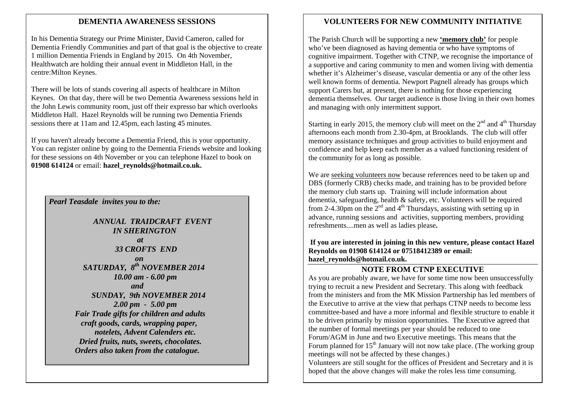#### **DEMENTIA AWARENESS SESSIONS**

In his Dementia Strategy our Prime Minister, David Cameron, called for Dementia Friendly Communities and part of that goal is the objective to create 1 million Dementia Friends in England by 2015. On 4th November, Healthwatch are holding their annual event in Middleton Hall, in the centre:Milton Keynes.

There will be lots of stands covering all aspects of healthcare in Milton Keynes. On that day, there will be two Dementia Awareness sessions held in the John Lewis community room, just off their expresso bar which overlooks Middleton Hall. Hazel Reynolds will be running two Dementia Friends sessions there at 11am and 12.45pm, each lasting 45 minutes.

If you haven't already become a Dementia Friend, this is your opportunity. You can register online by going to the Dementia Friends website and looking for these sessions on 4th November or you can telephone Hazel to book on **01908 614124** or email: **hazel\_reynolds@hotmail.co.uk.**

#### *Pearl Teasdale invites you to the:*

 *ANNUAL TRAIDCRAFT EVENT IN SHERINGTON at* and *at 33 CROFTS END on on SATURDAY, 8th NOVEMBER 2014 10.00 am - 6.00 pm and SUNDAY, 9th NOVEMBER 2014 2.00 pm - 5.00 pm Fair Trade gifts for children and adults craft goods, cards, wrapping paper, notelets, Advent Calenders etc. Dried fruits, nuts, sweets, chocolates. Orders also taken from the catalogue.*

#### **VOLUNTEERS FOR NEW COMMUNITY INITIATIVE**

The Parish Church will be supporting a new **'memory club'** for people who've been diagnosed as having dementia or who have symptoms of cognitive impairment. Together with CTNP, we recognise the importance of a supportive and caring community to men and women living with dementia whether it's Alzheimer's disease, vascular dementia or any of the other less well known forms of dementia. Newport Pagnell already has groups which support Carers but, at present, there is nothing for those experiencing dementia themselves. Our target audience is those living in their own homes and managing with only intermittent support.

Starting in early 2015, the memory club will meet on the  $2<sup>nd</sup>$  and  $4<sup>th</sup>$  Thursday afternoons each month from 2.30-4pm, at Brooklands. The club will offer memory assistance techniques and group activities to build enjoyment and confidence and help keep each member as a valued functioning resident of the community for as long as possible.

We are seeking volunteers now because references need to be taken up and DBS (formerly CRB) checks made, and training has to be provided before the memory club starts up. Training will include information about dementia, safeguarding, health & safety, etc. Volunteers will be required from 2-4.30pm on the  $2<sup>nd</sup>$  and  $4<sup>th</sup>$  Thursdays, assisting with setting up in advance, running sessions and activities, supporting members, providing refreshments....men as well as ladies please**.** 

**If you are interested in joining in this new venture, please contact Hazel Reynolds on 01908 614124 or 07518412389 or email: hazel\_reynolds@hotmail.co.uk.**

#### **NOTE FROM CTNP EXECUTIVE**

As you are probably aware, we have for some time now been unsuccessfully trying to recruit a new President and Secretary. This along with feedback from the ministers and from the MK Mission Partnership has led members of the Executive to arrive at the view that perhaps CTNP needs to become less committee-based and have a more informal and flexible structure to enable it to be driven primarily by mission opportunities. The Executive agreed that the number of formal meetings per year should be reduced to one Forum/AGM in June and two Executive meetings. This means that the Forum planned for  $15<sup>th</sup>$  January will not now take place. (The working group meetings will not be affected by these changes.) Volunteers are still sought for the offices of President and Secretary and it is hoped that the above changes will make the roles less time consuming.